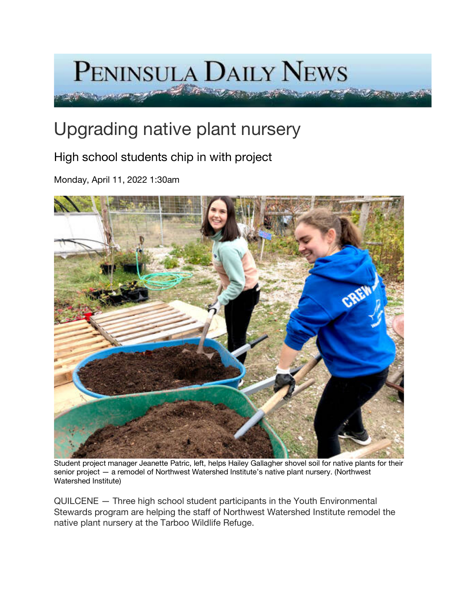## PENINSULA DAILY NEWS

**ALACTER AND AREA** 

## Upgrading native plant nursery

## High school students chip in with project

Monday, April 11, 2022 1:30am



Student project manager Jeanette Patric, left, helps Hailey Gallagher shovel soil for native plants for their senior project — a remodel of Northwest Watershed Institute's native plant nursery. (Northwest Watershed Institute)

QUILCENE — Three high school student participants in the Youth Environmental Stewards program are helping the staff of Northwest Watershed Institute remodel the native plant nursery at the Tarboo Wildlife Refuge.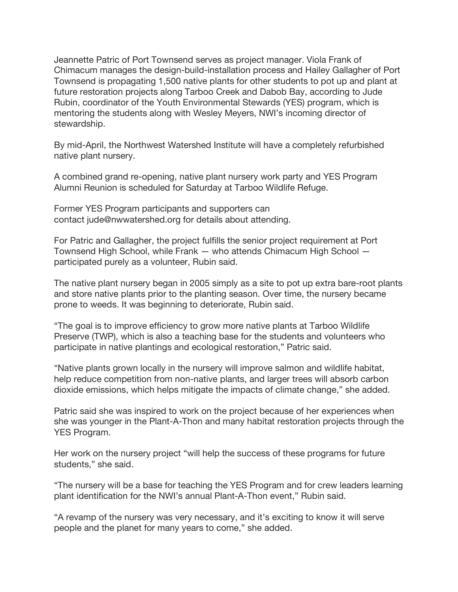Jeannette Patric of Port Townsend serves as project manager. Viola Frank of Chimacum manages the design-build-installation process and Hailey Gallagher of Port Townsend is propagating 1,500 native plants for other students to pot up and plant at future restoration projects along Tarboo Creek and Dabob Bay, according to Jude Rubin, coordinator of the Youth Environmental Stewards (YES) program, which is mentoring the students along with Wesley Meyers, NWI's incoming director of stewardship.

By mid-April, the Northwest Watershed Institute will have a completely refurbished native plant nursery.

A combined grand re-opening, native plant nursery work party and YES Program Alumni Reunion is scheduled for Saturday at Tarboo Wildlife Refuge.

Former YES Program participants and supporters can contact jude@nwwatershed.org for details about attending.

For Patric and Gallagher, the project fulfills the senior project requirement at Port Townsend High School, while Frank — who attends Chimacum High School participated purely as a volunteer, Rubin said.

The native plant nursery began in 2005 simply as a site to pot up extra bare-root plants and store native plants prior to the planting season. Over time, the nursery became prone to weeds. It was beginning to deteriorate, Rubin said.

"The goal is to improve efficiency to grow more native plants at Tarboo Wildlife Preserve (TWP), which is also a teaching base for the students and volunteers who participate in native plantings and ecological restoration," Patric said.

"Native plants grown locally in the nursery will improve salmon and wildlife habitat, help reduce competition from non-native plants, and larger trees will absorb carbon dioxide emissions, which helps mitigate the impacts of climate change," she added.

Patric said she was inspired to work on the project because of her experiences when she was younger in the Plant-A-Thon and many habitat restoration projects through the YES Program.

Her work on the nursery project "will help the success of these programs for future students," she said.

"The nursery will be a base for teaching the YES Program and for crew leaders learning plant identification for the NWI's annual Plant-A-Thon event," Rubin said.

"A revamp of the nursery was very necessary, and it's exciting to know it will serve people and the planet for many years to come," she added.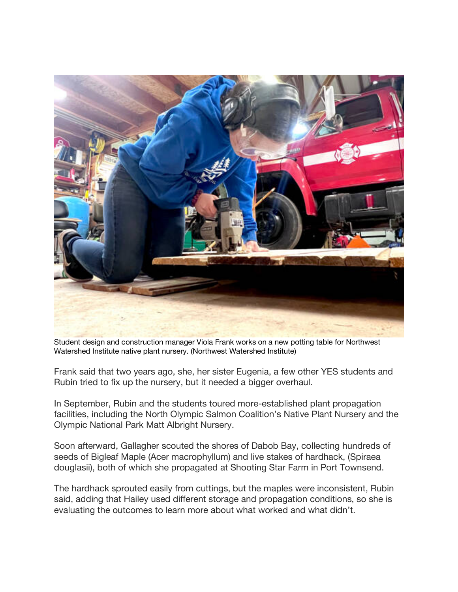

Student design and construction manager Viola Frank works on a new potting table for Northwest Watershed Institute native plant nursery. (Northwest Watershed Institute)

Frank said that two years ago, she, her sister Eugenia, a few other YES students and Rubin tried to fix up the nursery, but it needed a bigger overhaul.

In September, Rubin and the students toured more-established plant propagation facilities, including the North Olympic Salmon Coalition's Native Plant Nursery and the Olympic National Park Matt Albright Nursery.

Soon afterward, Gallagher scouted the shores of Dabob Bay, collecting hundreds of seeds of Bigleaf Maple (Acer macrophyllum) and live stakes of hardhack, (Spiraea douglasii), both of which she propagated at Shooting Star Farm in Port Townsend.

The hardhack sprouted easily from cuttings, but the maples were inconsistent, Rubin said, adding that Hailey used different storage and propagation conditions, so she is evaluating the outcomes to learn more about what worked and what didn't.